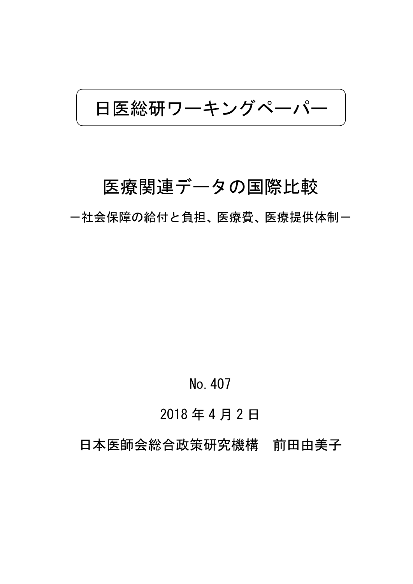日医総研ワーキングペーパー

# 医療関連データの国際比較

ー社会保障の給付と負担、医療費、医療提供体制ー

# No.407

# 2018 年 4 月 2 日

日本医師会総合政策研究機構 前田由美子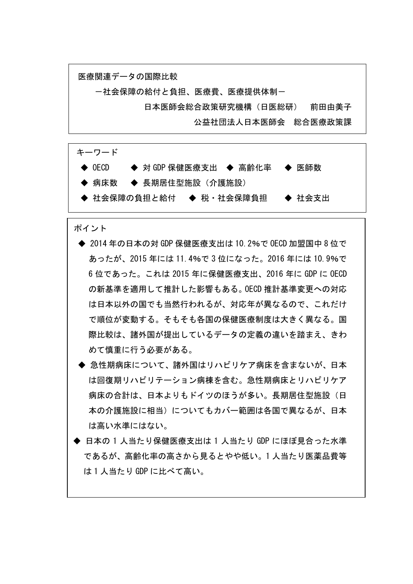

- ◆ 病床数 → 長期居住型施設(介護施設)
- ◆ 社会保障の負担と給付 ◆ 税・社会保障負担 ◆ 社会支出

#### ポイント

i.

- ◆ 2014 年の日本の対 GDP 保健医療支出は 10.2%で OECD 加盟国中 8 位で あったが、2015 年には 11.4%で 3 位になった。2016 年には 10.9%で 6 位であった。これは 2015 年に保健医療支出、2016 年に GDP に OECD の新基準を適用して推計した影響もある。OECD 推計基準変更への対応 は日本以外の国でも当然行われるが、対応年が異なるので、これだけ で順位が変動する。そもそも各国の保健医療制度は大きく異なる。国 際比較は、諸外国が提出しているデータの定義の違いを踏まえ、きわ めて慎重に行う必要がある。
- ◆ 急性期病床について、諸外国はリハビリケア病床を含まないが、日本 は回復期リハビリテーション病棟を含む。急性期病床とリハビリケア 病床の合計は、日本よりもドイツのほうが多い。長期居住型施設(日 本の介護施設に相当)についてもカバー範囲は各国で異なるが、日本 は高い水準にはない。
- ◆ 日本の 1 人当たり保健医療支出は 1 人当たり GDP にほぼ見合った水準 であるが、高齢化率の高さから見るとやや低い。1 人当たり医薬品費等 は 1 人当たり GDP に比べて高い。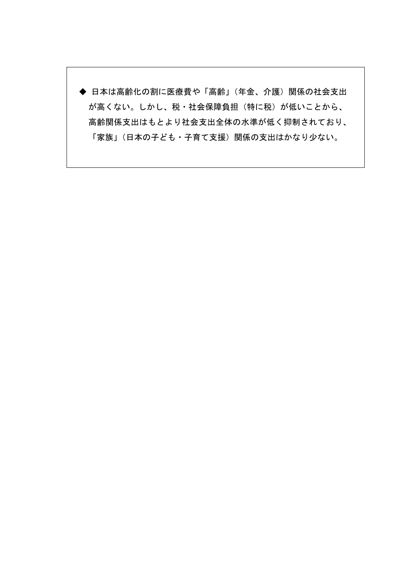◆ 日本は高齢化の割に医療費や「高齢」(年金、介護)関係の社会支出 が高くない。しかし、税・社会保障負担(特に税)が低いことから、 高齢関係支出はもとより社会支出全体の水準が低く抑制されており、 「家族」(日本の子ども・子育て支援)関係の支出はかなり少ない。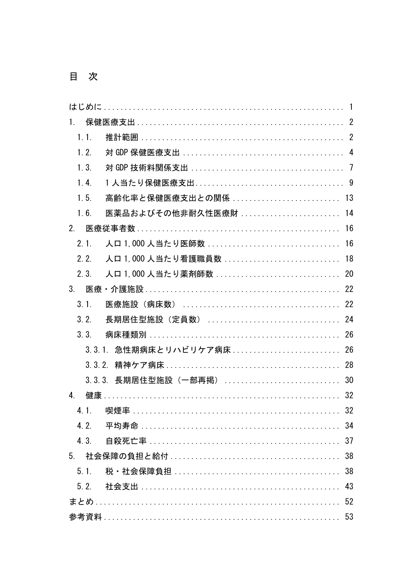目次

| $1_{-}$          |                           |    |
|------------------|---------------------------|----|
| 1.1.             |                           |    |
| 1.2.             |                           |    |
| 1.3.             |                           |    |
| 1.4.             |                           |    |
| 1.5.             | 高齢化率と保健医療支出との関係  13       |    |
| 1.6.             | 医薬品およびその他非耐久性医療財  14      |    |
| 2 <sub>1</sub>   |                           |    |
| 2.1.             |                           |    |
| 2.2.             | 人口 1,000 人当たり看護職員数  18    |    |
| $2 \, 3$         |                           |    |
| 3 <sub>1</sub>   |                           |    |
| 3 <sub>1</sub>   |                           |    |
| 3.2.             | 長期居住型施設(定員数)  24          |    |
| 3.3.             |                           |    |
|                  | 3.3.1. 急性期病床とリハビリケア病床  26 |    |
|                  |                           |    |
|                  | 3.3.3. 長期居住型施設(一部再掲)  30  |    |
| $\overline{4}$ . |                           | 32 |
| 4.1.             | 喫煙率                       | 32 |
| 4.2.             |                           |    |
|                  |                           |    |
|                  |                           |    |
| 5.1              |                           |    |
|                  |                           |    |
|                  |                           |    |
|                  |                           |    |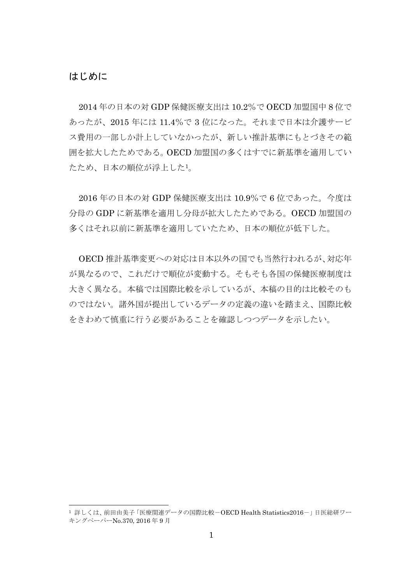### はじめに

l

2014 年の日本の対 GDP 保健医療支出は 10.2%で OECD 加盟国中 8 位で あったが、2015 年には 11.4%で 3 位になった。それまで日本は介護サービ ス費用の一部しか計上していなかったが、新しい推計基準にもとづきその範 囲を拡大したためである。OECD 加盟国の多くはすでに新基準を適用してい たため、日本の順位が浮上した1。

2016 年の日本の対 GDP 保健医療支出は 10.9%で 6 位であった。今度は 分母の GDP に新基準を適用し分母が拡大したためである。OECD 加盟国の 多くはそれ以前に新基準を適用していたため、日本の順位が低下した。

OECD 推計基準変更への対応は日本以外の国でも当然行われるが、対応年 が異なるので、これだけで順位が変動する。そもそも各国の保健医療制度は 大きく異なる。本稿では国際比較を示しているが、本稿の目的は比較そのも のではない。諸外国が提出しているデータの定義の違いを踏まえ、国際比較 をきわめて慎重に行う必要があることを確認しつつデータを示したい。

<sup>1</sup> 詳しくは、前田由美子「医療関連データの国際比較-OECD Health Statistics2016-」日医総研ワー キングペーパーNo.370, 2016 年 9 月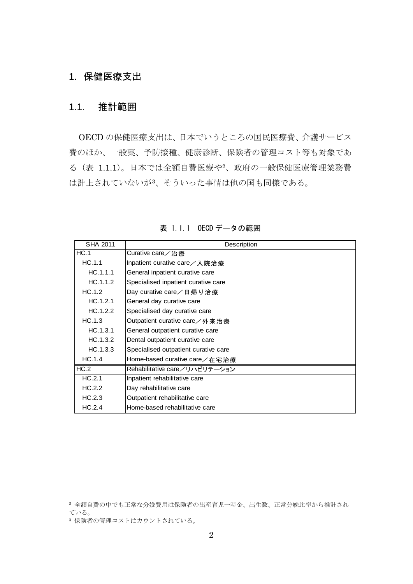# 1. 保健医療支出

## 1.1. 推計範囲

OECD の保健医療支出は、日本でいうところの国民医療費、介護サービス 費のほか、一般薬、予防接種、健康診断、保険者の管理コスト等も対象であ る(表 1.1.1)。日本では全額自費医療や2、政府の一般保健医療管理業務費 は計上されていないが3、そういった事情は他の国も同様である。

| SHA 2011 | Description                          |
|----------|--------------------------------------|
| HC.1     | Curative care/治療                     |
| HC.1.1   | Inpatient curative care/入院治療         |
| HC.1.1.1 | General inpatient curative care      |
| HC.1.1.2 | Specialised inpatient curative care  |
| HC.1.2   | Day curative care/日帰り治療              |
| HC.1.2.1 | General day curative care            |
| HC.1.2.2 | Specialised day curative care        |
| HC.1.3   | Outpatient curative care / 外来治療      |
| HC.1.3.1 | General outpatient curative care     |
| HC.1.3.2 | Dental outpatient curative care      |
| HC.1.3.3 | Specialised outpatient curative care |
| HC.1.4   | Home-based curative care/在宅治療        |
| HC.2     | Rehabilitative care/リハビリテーション        |
| HC.2.1   | Inpatient rehabilitative care        |
| HC.2.2   | Day rehabilitative care              |
| HC.2.3   | Outpatient rehabilitative care       |
| HC.2.4   | Home-based rehabilitative care       |

表 1.1.1 OECD データの範囲

<sup>2</sup> 全額自費の中でも正常な分娩費用は保険者の出産育児一時金、出生数、正常分娩比率から推計され ている。

<sup>3</sup> 保険者の管理コストはカウントされている。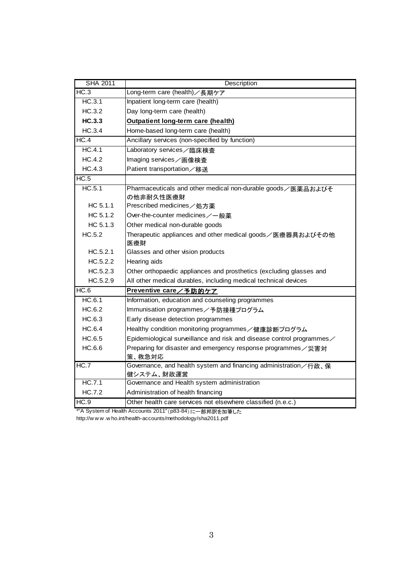| <b>SHA 2011</b> | Description                                                                |  |  |  |
|-----------------|----------------------------------------------------------------------------|--|--|--|
| HC.3            | Long-term care (health)/長期ケア                                               |  |  |  |
| HC.3.1          | Inpatient long-term care (health)                                          |  |  |  |
| HC.3.2          | Day long-term care (health)                                                |  |  |  |
| <b>HC.3.3</b>   | Outpatient long-term care (health)                                         |  |  |  |
| HC.3.4          | Home-based long-term care (health)                                         |  |  |  |
| HC.4            | Ancillary services (non-specified by function)                             |  |  |  |
| HC.4.1          | Laboratory services /臨床検査                                                  |  |  |  |
| HC.4.2          | Imaging services / 画像検査                                                    |  |  |  |
| HC.4.3          | Patient transportation/移送                                                  |  |  |  |
| HC.5            |                                                                            |  |  |  |
| HC.5.1          | Pharmaceuticals and other medical non-durable goods / 医薬品およびそ<br>の他非耐久性医療財 |  |  |  |
| HC 5.1.1        | Prescribed medicines / 処方薬                                                 |  |  |  |
| HC 5.1.2        | Over-the-counter medicines /- 般薬                                           |  |  |  |
| HC 5.1.3        | Other medical non-durable goods                                            |  |  |  |
| HC.5.2          | Therapeutic appliances and other medical goods/医療器具およびその他                  |  |  |  |
|                 | 医療財                                                                        |  |  |  |
| HC.5.2.1        | Glasses and other vision products                                          |  |  |  |
| HC.5.2.2        | Hearing aids                                                               |  |  |  |
| HC.5.2.3        | Other orthopaedic appliances and prosthetics (excluding glasses and        |  |  |  |
| HC.5.2.9        | All other medical durables, including medical technical devices            |  |  |  |
| HC.6            | Preventive care/予防的ケア                                                      |  |  |  |
| HC.6.1          | Information, education and counseling programmes                           |  |  |  |
| HC.6.2          | Immunisation programmes / 予防接種プログラム                                        |  |  |  |
| HC.6.3          | Early disease detection programmes                                         |  |  |  |
| HC.6.4          | Healthy condition monitoring programmes /健康診断プログラム                         |  |  |  |
| HC.6.5          | Epidemiological surveillance and risk and disease control programmes       |  |  |  |
| HC.6.6          | Preparing for disaster and emergency response programmes / 災害対             |  |  |  |
|                 | 策、救急対応                                                                     |  |  |  |
| HC.7            | Governance, and health system and financing administration / 行政、保          |  |  |  |
|                 | 健システム、財政運営                                                                 |  |  |  |
| HC.7.1          | Governance and Health system administration                                |  |  |  |
| <b>HC.7.2</b>   | Administration of health financing                                         |  |  |  |
| HC.9            | Other health care services not elsewhere classified (n.e.c.)               |  |  |  |

\*"A System of Health Accounts 2011"(p83-84)に一部邦訳を加筆した

http://w w w .w ho.int/health-accounts/methodology/sha2011.pdf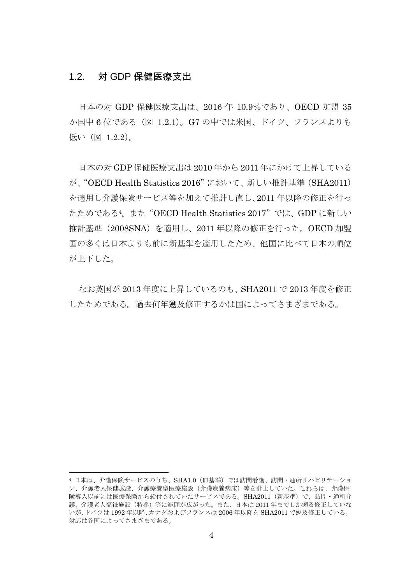## 1.2. 対 GDP 保健医療支出

日本の対 GDP 保健医療支出は、2016 年 10.9%であり、OECD 加盟 35 か国中 6 位である(図 1.2.1)。G7 の中では米国、ドイツ、フランスよりも 低い (図 1.2.2)。

日本の対 GDP 保健医療支出は 2010 年から 2011 年にかけて上昇している が、"OECD Health Statistics 2016"において、新しい推計基準(SHA2011) を適用し介護保険サービス等を加えて推計し直し、2011 年以降の修正を行っ たためである4。また"OECD Health Statistics 2017"では、GDP に新しい 推計基準(2008SNA)を適用し、2011 年以降の修正を行った。OECD 加盟 国の多くは日本よりも前に新基準を適用したため、他国に比べて日本の順位 が上下した。

なお英国が 2013 年度に上昇しているのも、SHA2011 で 2013 年度を修正 したためである。過去何年遡及修正するかは国によってさまざまである。

<sup>4</sup> 日本は、介護保険サービスのうち、SHA1.0(旧基準)では訪問看護、訪問・通所リハビリテーショ ン、介護老人保健施設、介護療養型医療施設(介護療養病床)等を計上していた。これらは、介護保 険導入以前には医療保険から給付されていたサービスである。SHA2011(新基準)で、訪問・通所介 護、介護老人福祉施設(特養)等に範囲が広がった。また、日本は 2011年までしか遡及修正していな いが、ドイツは 1992 年以降、カナダおよびフランスは 2006 年以降を SHA2011 で遡及修正している。 対応は各国によってさまざまである。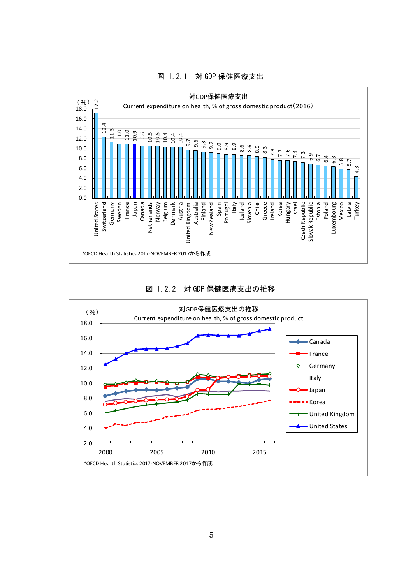

図 1.2.1 対 GDP 保健医療支出

図 1.2.2 対 GDP 保健医療支出の推移

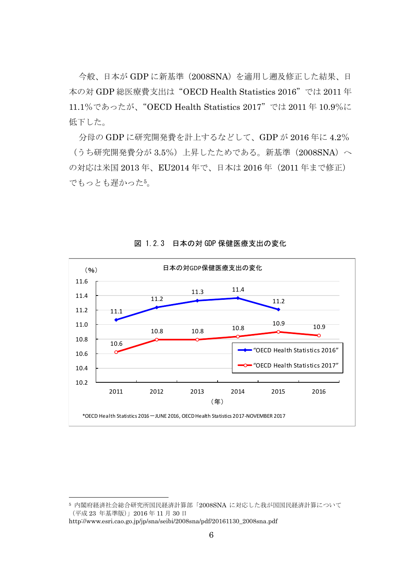今般、日本が GDP に新基準(2008SNA)を適用し遡及修正した結果、日 本の対 GDP 総医療費支出は"OECD Health Statistics 2016"では 2011 年 11.1%であったが、"OECD Health Statistics 2017"では 2011 年 10.9%に 低下した。

分母の GDP に研究開発費を計上するなどして、GDP が 2016 年に 4.2% (うち研究開発費分が 3.5%)上昇したためである。新基準(2008SNA)へ の対応は米国 2013年、EU2014年で、日本は 2016年 (2011年まで修正) でもっとも遅かった5。



図 1.2.3 日本の対 GDP 保健医療支出の変化

<sup>5</sup> 内閣府経済社会総合研究所国民経済計算部「2008SNA に対応した我が国国民経済計算について (平成 23 年基準版)」2016 年 11 月 30 日

http://www.esri.cao.go.jp/jp/sna/seibi/2008sna/pdf/20161130\_2008sna.pdf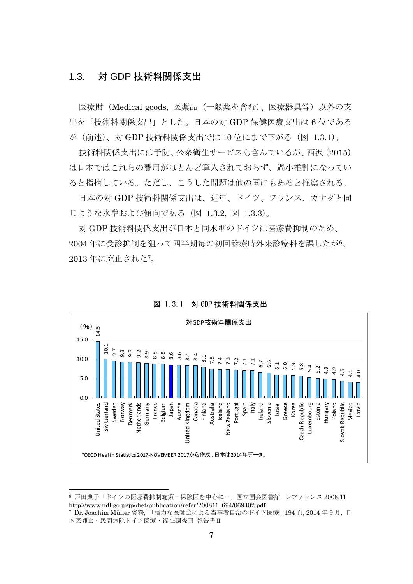## 1.3. 対 GDP 技術料関係支出

医療財(Medical goods, 医薬品(一般薬を含む)、医療器具等)以外の支 出を「技術料関係支出」とした。日本の対 GDP 保健医療支出は 6 位である が(前述)、対 GDP 技術料関係支出では 10 位にまで下がる(図 1.3.1)。

技術料関係支出には予防、公衆衛生サービスも含んでいるが、西沢(2015) は日本ではこれらの費用がほとんど算入されておらず、過小推計になってい ると指摘している。ただし、こうした問題は他の国にもあると推察される。

日本の対 GDP 技術料関係支出は、近年、ドイツ、フランス、カナダと同 じような水準および傾向である(図 1.3.2, 図 1.3.3)。

対 GDP 技術料関係支出が日本と同水準のドイツは医療費抑制のため、 2004 年に受診抑制を狙って四半期毎の初回診療時外来診療料を課したが6、 2013 年に廃止された7。



図 1.3.1 対 GDP 技術料関係支出

<sup>6</sup> 戸田典子「ドイツの医療費抑制施策-保険医を中心にー」国立国会図書館、レファレンス 2008.11 http://www.ndl.go.jp/jp/diet/publication/refer/200811\_694/069402.pdf 7 Dr. Joachim Müller 資料, 「強力な医師会による当事者自治のドイツ医療」<sup>194</sup> <sup>頁</sup>, 2014 <sup>年</sup> <sup>9</sup> <sup>月</sup>, <sup>日</sup>

本医師会・民間病院ドイツ医療・福祉調査団 報告書Ⅱ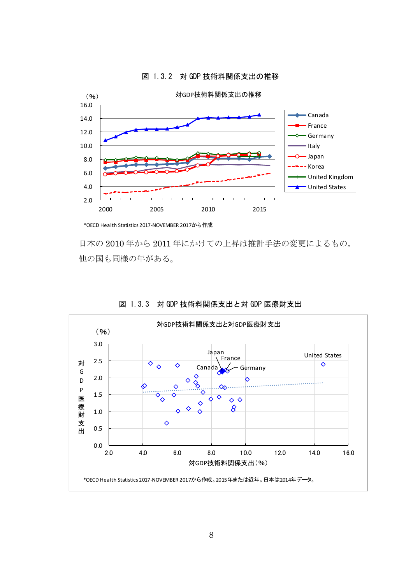

図 1.3.2 対 GDP 技術料関係支出の推移

日本の 2010 年から 2011 年にかけての上昇は推計手法の変更によるもの。 他の国も同様の年がある。



図 1.3.3 対 GDP 技術料関係支出と対 GDP 医療財支出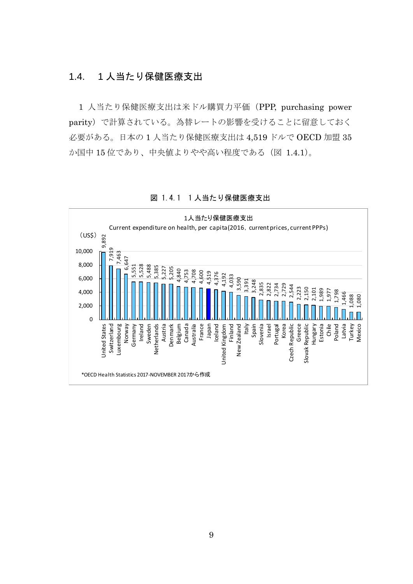## 1.4. 1 人当たり保健医療支出

1 人当たり保健医療支出は米ドル購買力平価(PPP, purchasing power parity)で計算されている。為替レートの影響を受けることに留意しておく 必要がある。日本の 1 人当たり保健医療支出は 4,519 ドルで OECD 加盟 35 か国中 15 位であり、中央値よりやや高い程度である(図 1.4.1)。



図 1.4.1 1人当たり保健医療支出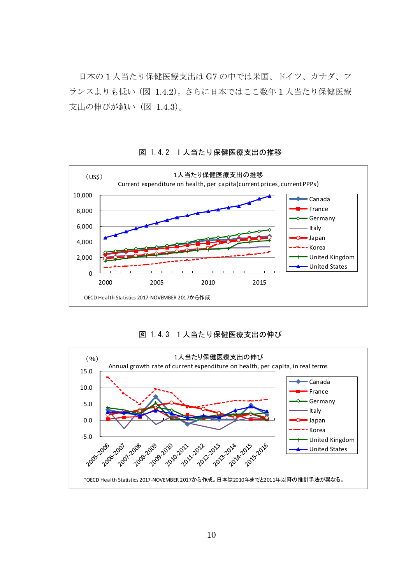日本の 1 人当たり保健医療支出は G7 の中では米国、ドイツ、カナダ、フ ランスよりも低い(図 1.4.2)。さらに日本ではここ数年 1 人当たり保健医療 支出の伸びが鈍い(図 1.4.3)。



図 1.4.2 1 人当たり保健医療支出の推移

図 1.4.3 1 人当たり保健医療支出の伸び

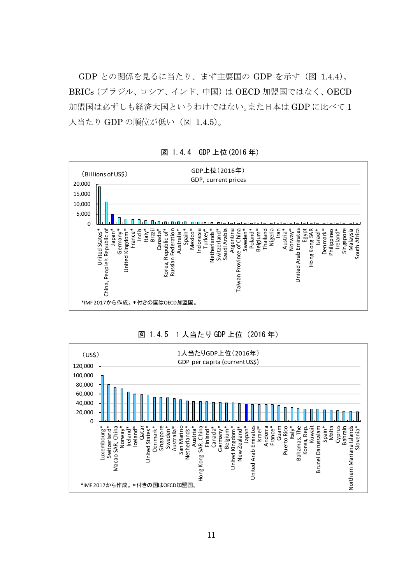GDP との関係を見るに当たり、まず主要国の GDP を示す(図 1.4.4)。 BRICs(ブラジル、ロシア、インド、中国)は OECD 加盟国ではなく、OECD 加盟国は必ずしも経済大国というわけではない。また日本は GDP に比べて 1 人当たり GDP の順位が低い (図 1.4.5)。



図 1.4.4 GDP 上位(2016 年)



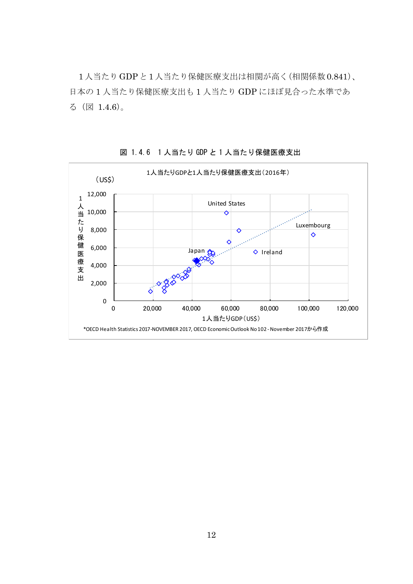1人当たりGDPと1人当たり保健医療支出は相関が高く(相関係数0.841)、 日本の 1 人当たり保健医療支出も 1 人当たり GDP にほぼ見合った水準であ る(図 1.4.6)。



図 1.4.6 1 人当たり GDP と 1 人当たり保健医療支出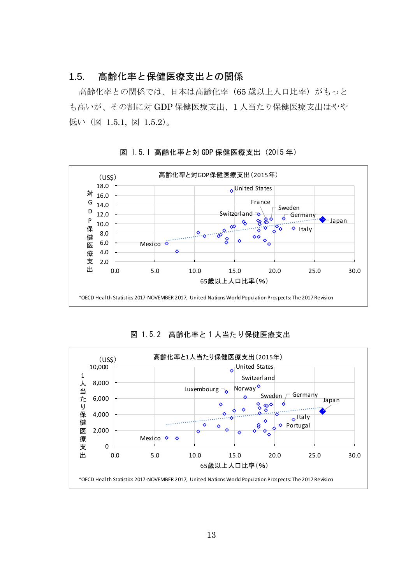## 1.5. 高齢化率と保健医療支出との関係

高齢化率との関係では、日本は高齢化率(65 歳以上人口比率)がもっと も高いが、その割に対 GDP 保健医療支出、1 人当たり保健医療支出はやや 低い(図 1.5.1, 図 1.5.2)。



図 1.5.1 高齢化率と対 GDP 保健医療支出(2015 年)

図 1.5.2 高齢化率と 1 人当たり保健医療支出

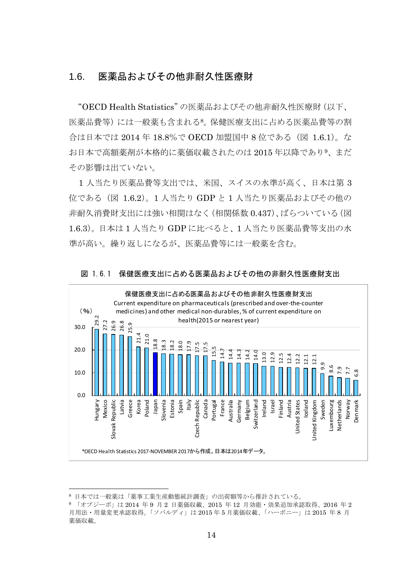## 1.6. 医薬品およびその他非耐久性医療財

"OECD Health Statistics"の医薬品およびその他非耐久性医療財(以下、 医薬品費等)には一般薬も含まれる8。保健医療支出に占める医薬品費等の割 合は日本では 2014 年 18.8%で OECD 加盟国中 8 位である(図 1.6.1)。な お日本で高額薬剤が本格的に薬価収載されたのは 2015 年以降であり9、まだ その影響は出ていない。

1 人当たり医薬品費等支出では、米国、スイスの水準が高く、日本は第 3 位である(図 1.6.2)。1 人当たり GDP と 1 人当たり医薬品およびその他の 非耐久消費財支出には強い相関はなく(相関係数 0.437)、ばらついている(図 1.6.3)。日本は 1 人当たり GDP に比べると、1 人当たり医薬品費等支出の水 準が高い。繰り返しになるが、医薬品費等には一般薬を含む。





<sup>8</sup> 日本では一般薬は「薬事工業生産動態統計調査」の出荷額等から推計されている。

<sup>9</sup> 「オプジーボ」は 2014 年 9 月 2 日薬価収載、2015 年 12 月効能・効果追加承認取得、2016 年 2 月用法・用量変更承認取得。「ソバルディ」は 2015 年 5 月薬価収載、「ハーボニー」は 2015 年 8 月 薬価収載。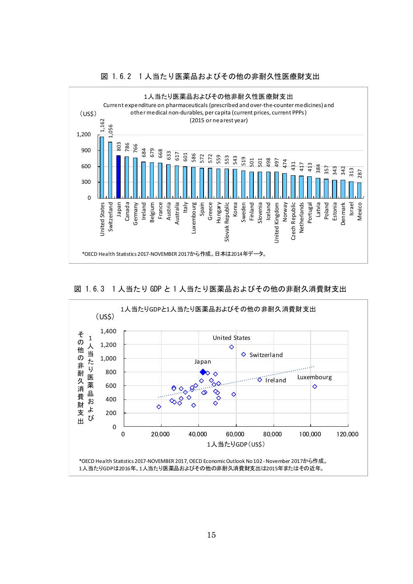

#### 図 1.6.2 1 人当たり医薬品およびその他の非耐久性医療財支出

図 1.6.3 1 人当たり GDP と 1 人当たり医薬品およびその他の非耐久消費財支出

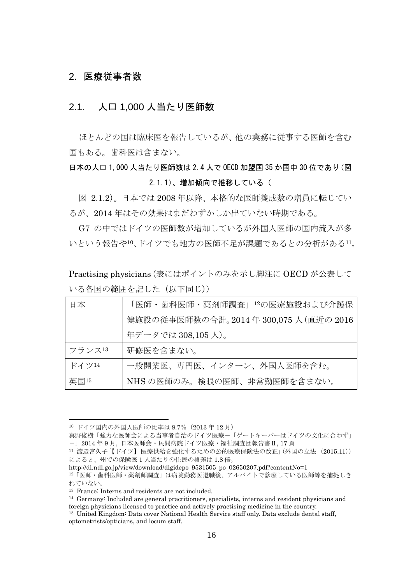### 2. 医療従事者数

## 2.1. 人口 1,000 人当たり医師数

ほとんどの国は臨床医を報告しているが、他の業務に従事する医師を含む 国もある。歯科医は含まない。

# 日本の人口 1,000 人当たり医師数は 2.4 人で OECD 加盟国 35 か国中 30 位であり(図 2.1.1)、増加傾向で推移している(

図 2.1.2)。日本では 2008 年以降、本格的な医師養成数の増員に転じてい るが、2014 年はその効果はまだわずかしか出ていない時期である。

G7 の中ではドイツの医師数が増加しているが外国人医師の国内流入が多 いという報告や10、ドイツでも地方の医師不足が課題であるとの分析がある11。

Practising physicians(表にはポイントのみを示し脚注に OECD が公表して いる各国の範囲を記した(以下同じ))

| 日本     | 「医師・歯科医師・薬剤師調査」12の医療施設および介護保          |
|--------|---------------------------------------|
|        | 健施設の従事医師数の合計。2014年 300,075人 (直近の 2016 |
|        | 年データでは 308,105人)。                     |
| フランス13 | 研修医を含まない。                             |
| ドイツ14  | 一般開業医、専門医、インターン、外国人医師を含む。             |
| 英国15   | NHSの医師のみ。検眼の医師、非常勤医師を含まない。            |

<sup>10</sup> ドイツ国内の外国人医師の比率は 8.7%(2013 年 12 月)

真野俊樹「強力な医師会による当事者自治のドイツ医療-「ゲートキーパーはドイツの文化に合わず」 -」2014 年 9 月, 日本医師会・民間病院ドイツ医療・福祉調査団報告書Ⅱ, 17 頁

<sup>11</sup> 渡辺富久子「【ドイツ】医療供給を強化するための公的医療保険法の改正」(外国の立法 (2015.11)) によると、州での保険医 1 人当たりの住民の格差は 1.8 倍。

http://dl.ndl.go.jp/view/download/digidepo\_9531505\_po\_02650207.pdf?contentNo=1 12「医師・歯科医師・薬剤師調査」は病院勤務医退職後、アルバイトで診療している医師等を捕捉しき

れていない。

<sup>13</sup> France: Interns and residents are not included.

<sup>14</sup> Germany: Included are general practitioners, specialists, interns and resident physicians and foreign physicians licensed to practice and actively practising medicine in the country.

<sup>15</sup> United Kingdom: Data cover National Health Service staff only. Data exclude dental staff, optometrists/opticians, and locum staff.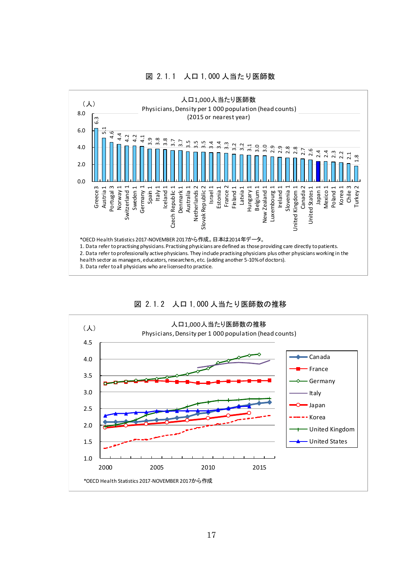

#### 図 2.1.1 人口 1,000 人当たり医師数



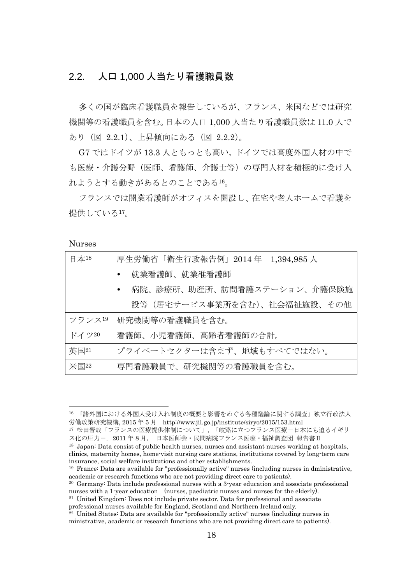# 2.2. 人口 1,000 人当たり看護職員数

多くの国が臨床看護職員を報告しているが、フランス、米国などでは研究 機関等の看護職員を含む。日本の人口 1,000 人当たり看護職員数は 11.0 人で あり(図 2.2.1)、上昇傾向にある(図 2.2.2)。

G7 ではドイツが 13.3 人ともっとも高い。ドイツでは高度外国人材の中で も医療・介護分野(医師、看護師、介護士等)の専門人材を積極的に受け入 れようとする動きがあるとのことである16。

フランスでは開業看護師がオフィスを開設し、在宅や老人ホームで看護を 提供している17。

Nurses

| 日本18                        | 厚生労働省「衛生行政報告例」2014 年 1,394,985 人 |
|-----------------------------|----------------------------------|
|                             | 就業看護師、就業准看護師                     |
|                             | 病院、診療所、助産所、訪問看護ステーション、介護保険施      |
|                             | 設等(居宅サービス事業所を含む)、社会福祉施設、その他      |
| フランス19                      | 研究機関等の看護職員を含む。                   |
| ドイツ20                       | 看護師、小児看護師、高齢者看護師の合計。             |
| 英国21                        | プライベートセクターは含まず、地域もすべてではない。       |
| $\mathcal{K}\boxtimes^{22}$ | 専門看護職員で、研究機関等の看護職員を含む。           |

<sup>16</sup> 「諸外国における外国人受け入れ制度の概要と影響をめぐる各種議論に関する調査」独立行政法人 労働政策研究機構, 2015 年 5 月 http://www.jil.go.jp/institute/siryo/2015/153.html

<sup>17</sup> 松田晋哉「フランスの医療提供体制について」, 「岐路に立つフランス医療-日本にも迫るイギリ ス化の圧力-」2011年8月, 日本医師会・民間病院フランス医療・福祉調査団 報告書Ⅱ

<sup>18</sup> Japan: Data consist of public health nurses, nurses and assistant nurses working at hospitals, clinics, maternity homes, home-visit nursing care stations, institutions covered by long-term care insurance, social welfare institutions and other establishments.<br><sup>19</sup> France: Data are available for "professionally active" nurses (including nurses in dministrative,

academic or research functions who are not providing direct care to patients).

<sup>20</sup> Germany: Data include professional nurses with a 3-year education and associate professional nurses with a 1-year education (nurses, paediatric nurses and nurses for the elderly).<br><sup>21</sup> United Kingdom: Does not include private sector. Data for professional and associate

professional nurses available for England, Scotland and Northern Ireland only. 22 United States: Data are available for "professionally active" nurses (including nurses in

ministrative, academic or research functions who are not providing direct care to patients).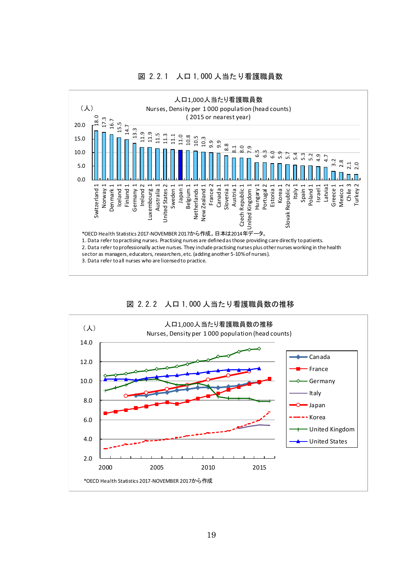

#### 図 2.2.1 人口 1,000 人当たり看護職員数



図 2.2.2 人口 1,000 人当たり看護職員数の推移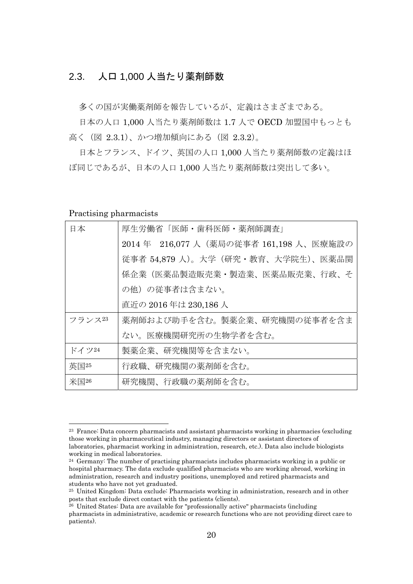## 2.3. 人口 1,000 人当たり薬剤師数

多くの国が実働薬剤師を報告しているが、定義はさまざまである。

日本の人口 1,000 人当たり薬剤師数は 1.7 人で OECD 加盟国中もっとも 高く(図 2.3.1)、かつ増加傾向にある(図 2.3.2)。

日本とフランス、ドイツ、英国の人口 1,000 人当たり薬剤師数の定義はほ ぼ同じであるが、日本の人口 1,000 人当たり薬剤師数は突出して多い。

#### Practising pharmacists

| 日本      | 厚生労働省「医師・歯科医師・薬剤師調査」                    |  |
|---------|-----------------------------------------|--|
|         | 2014 年 216,077 人(薬局の従事者 161,198 人、医療施設の |  |
|         | 従事者 54,879 人)。大学(研究・教育、大学院生)、医薬品関       |  |
|         | 係企業(医薬品製造販売業・製造業、医薬品販売業、行政、そ            |  |
|         | の他)の従事者は含まない。                           |  |
|         | 直近の 2016 年は 230,186 人                   |  |
| フランス23  | 薬剤師および助手を含む。製薬企業、研究機関の従事者を含ま            |  |
|         | ない。医療機関研究所の生物学者を含む。                     |  |
| ドイツ24   | 製薬企業、研究機関等を含まない。                        |  |
| 英国25    | 行政職、研究機関の薬剤師を含む。                        |  |
| 米国 $26$ | 研究機関、行政職の薬剤師を含む。                        |  |

<sup>23</sup> France: Data concern pharmacists and assistant pharmacists working in pharmacies (excluding those working in pharmaceutical industry, managing directors or assistant directors of laboratories, pharmacist working in administration, research, etc.). Data also include biologists working in medical laboratories.

 $24$  Germany: The number of practising pharmacists includes pharmacists working in a public or hospital pharmacy. The data exclude qualified pharmacists who are working abroad, working in administration, research and industry positions, unemployed and retired pharmacists and students who have not yet graduated.

<sup>25</sup> United Kingdom: Data exclude: Pharmacists working in administration, research and in other posts that exclude direct contact with the patients (clients).

 $26$  United States: Data are available for "professionally active" pharmacists (including pharmacists in administrative, academic or research functions who are not providing direct care to patients).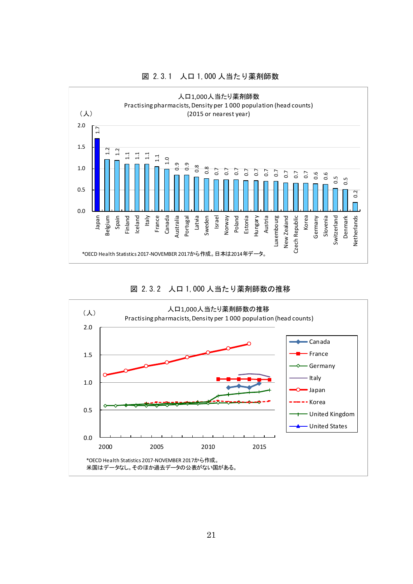

#### 図 2.3.1 人口 1,000 人当たり薬剤師数



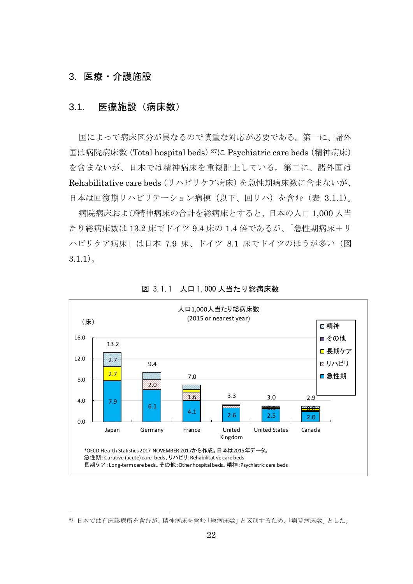## 3. 医療・介護施設

l

#### 3.1. 医療施設(病床数)

国によって病床区分が異なるので慎重な対応が必要である。第一に、諸外 国は病院病床数 (Total hospital beds) <sup>27</sup>に Psychiatric care beds (精神病床) を含まないが、日本では精神病床を重複計上している。第二に、諸外国は Rehabilitative care beds(リハビリケア病床)を急性期病床数に含まないが、 日本は回復期リハビリテーション病棟(以下、回リハ)を含む(表 3.1.1)。

病院病床および精神病床の合計を総病床とすると、日本の人口 1,000 人当 たり総病床数は 13.2 床でドイツ 9.4 床の 1.4 倍であるが、「急性期病床+リ ハビリケア病床」は日本 7.9 床、ドイツ 8.1 床でドイツのほうが多い(図  $3.1.1$ )。



図 3.1.1 人口 1,000 人当たり総病床数

<sup>27</sup> 日本では有床診療所を含むが、精神病床を含む「総病床数」と区別するため、「病院病床数」とした。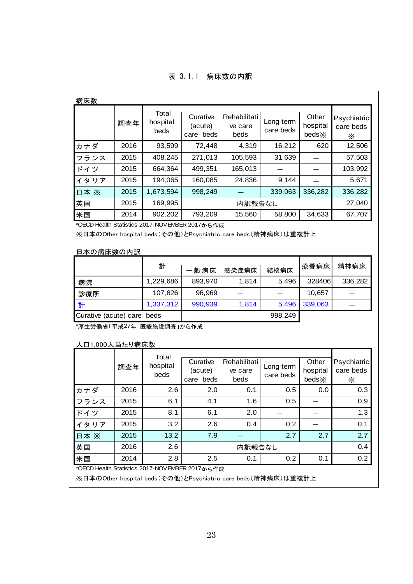| 表 3.1.1 病床数の内訳 |
|----------------|
|----------------|

| Total<br>Rehabilitati<br>Curative<br>Other<br>Long-term<br>hospital<br>調査年<br>(acute)<br>hospital<br>ve care<br>care beds<br>beds<br>care beds<br>beds <sup>×</sup><br>beds<br>2016<br>72,448<br>16,212<br>93,599<br>4,319<br>620<br>カナダ<br>408,245<br>271,013<br>105,593<br>31,639<br>2015<br>フランス<br>165,013<br>2015<br>499,351<br>664,364<br>ドイツ<br>2015<br>194,065<br>160,085<br>24,836<br>9,144<br>イタリア<br>2015<br>1,673,594<br>998,249<br>339,063<br>336,282<br>日本 ※<br>2015<br>169,995<br>英国<br>内訳報告なし<br>793,209<br>15,560<br>34,633<br>2014<br>902,202<br>58,800<br>米国<br>*OECD Health Statistics 2017-NOVEMBER 2017から作成<br>※日本のOther hospital beds(その他)とPsychiatric care beds(精神病床)は重複計上<br>日本の病床数の内訳<br>計<br>療養病床<br>·般病床<br>感染症病床<br>結核病床 | Psychiatric<br>care beds<br>$\times$<br>12,506<br>57,503<br>103,992<br>5,671<br>336,282<br>27,040<br>67,707<br>精神病床 |
|-------------------------------------------------------------------------------------------------------------------------------------------------------------------------------------------------------------------------------------------------------------------------------------------------------------------------------------------------------------------------------------------------------------------------------------------------------------------------------------------------------------------------------------------------------------------------------------------------------------------------------------------------------------------------------------------------------------------------------------------------------|---------------------------------------------------------------------------------------------------------------------|
|                                                                                                                                                                                                                                                                                                                                                                                                                                                                                                                                                                                                                                                                                                                                                       |                                                                                                                     |
|                                                                                                                                                                                                                                                                                                                                                                                                                                                                                                                                                                                                                                                                                                                                                       |                                                                                                                     |
|                                                                                                                                                                                                                                                                                                                                                                                                                                                                                                                                                                                                                                                                                                                                                       |                                                                                                                     |
|                                                                                                                                                                                                                                                                                                                                                                                                                                                                                                                                                                                                                                                                                                                                                       |                                                                                                                     |
|                                                                                                                                                                                                                                                                                                                                                                                                                                                                                                                                                                                                                                                                                                                                                       |                                                                                                                     |
|                                                                                                                                                                                                                                                                                                                                                                                                                                                                                                                                                                                                                                                                                                                                                       |                                                                                                                     |
|                                                                                                                                                                                                                                                                                                                                                                                                                                                                                                                                                                                                                                                                                                                                                       |                                                                                                                     |
|                                                                                                                                                                                                                                                                                                                                                                                                                                                                                                                                                                                                                                                                                                                                                       |                                                                                                                     |
|                                                                                                                                                                                                                                                                                                                                                                                                                                                                                                                                                                                                                                                                                                                                                       |                                                                                                                     |
|                                                                                                                                                                                                                                                                                                                                                                                                                                                                                                                                                                                                                                                                                                                                                       |                                                                                                                     |
| 1,229,686<br>893,970<br>1,814<br>328406<br>5,496<br>病院                                                                                                                                                                                                                                                                                                                                                                                                                                                                                                                                                                                                                                                                                                | 336,282                                                                                                             |
| 107,626<br>96,969<br>10,657<br>診療所                                                                                                                                                                                                                                                                                                                                                                                                                                                                                                                                                                                                                                                                                                                    |                                                                                                                     |
| 1,337,312<br>990,939<br>1,814<br>339,063<br>5,496<br>計                                                                                                                                                                                                                                                                                                                                                                                                                                                                                                                                                                                                                                                                                                |                                                                                                                     |
| 998,249<br>Curative (acute) care beds                                                                                                                                                                                                                                                                                                                                                                                                                                                                                                                                                                                                                                                                                                                 |                                                                                                                     |
| *厚生労働省「平成27年 医療施設調査」から作成<br>人口1,000人当たり病床数                                                                                                                                                                                                                                                                                                                                                                                                                                                                                                                                                                                                                                                                                                            |                                                                                                                     |
| Total<br>Curative<br>Rehabilitati<br>Other<br>hospital<br>Long-term<br>調査年<br>(acute)<br>hospital<br>ve care<br>beds<br>care beds<br>care beds<br>beds<br>beds ×                                                                                                                                                                                                                                                                                                                                                                                                                                                                                                                                                                                      | Psychiatric<br>care beds<br>$\times$                                                                                |
| 2016<br>2.6<br>2.0<br>0.1<br>0.5<br>0.0<br>カナダ                                                                                                                                                                                                                                                                                                                                                                                                                                                                                                                                                                                                                                                                                                        | 0.3                                                                                                                 |
| 2015<br>4.1<br>6.1<br>1.6<br>0.5<br>フランス                                                                                                                                                                                                                                                                                                                                                                                                                                                                                                                                                                                                                                                                                                              | 0.9                                                                                                                 |
| ドイツ<br>2015<br>6.1<br>2.0<br>8.1                                                                                                                                                                                                                                                                                                                                                                                                                                                                                                                                                                                                                                                                                                                      | 1.3                                                                                                                 |
| 2015<br>3.2<br>0.4<br>0.2<br>2.6<br>イタリア                                                                                                                                                                                                                                                                                                                                                                                                                                                                                                                                                                                                                                                                                                              | 0.1                                                                                                                 |
| 2015<br>13.2<br>7.9<br>2.7<br>2.7<br>日本 ※                                                                                                                                                                                                                                                                                                                                                                                                                                                                                                                                                                                                                                                                                                             | 2.7                                                                                                                 |
| 2016<br>2.6<br>内訳報告なし<br>英国                                                                                                                                                                                                                                                                                                                                                                                                                                                                                                                                                                                                                                                                                                                           | 0.4                                                                                                                 |
| 2014<br>2.5<br>2.8<br>0.1<br>0.2<br>0.1<br>米国                                                                                                                                                                                                                                                                                                                                                                                                                                                                                                                                                                                                                                                                                                         | 0.2                                                                                                                 |

※日本のOther hospital beds(その他)とPsychiatric care beds(精神病床)は重複計上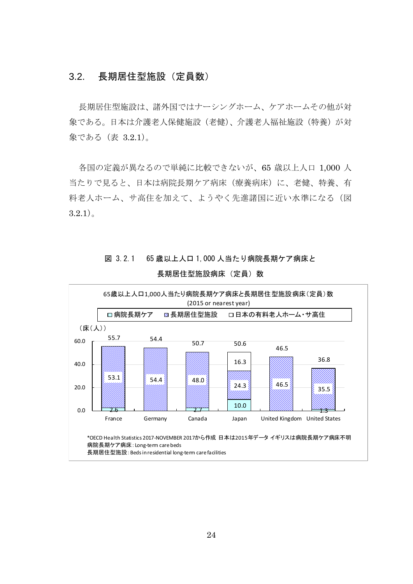## 3.2. 長期居住型施設(定員数)

長期居住型施設は、諸外国ではナーシングホーム、ケアホームその他が対 象である。日本は介護老人保健施設(老健)、介護老人福祉施設(特養)が対 象である(表 3.2.1)。

各国の定義が異なるので単純に比較できないが、65 歳以上人口 1,000 人 当たりで見ると、日本は病院長期ケア病床(療養病床)に、老健、特養、有 料老人ホーム、サ高住を加えて、ようやく先進諸国に近い水準になる(図  $3.2.1$ )。

# 図 3.2.1 65 歳以上人口 1,000 人当たり病院長期ケア病床と



長期居住型施設病床(定員)数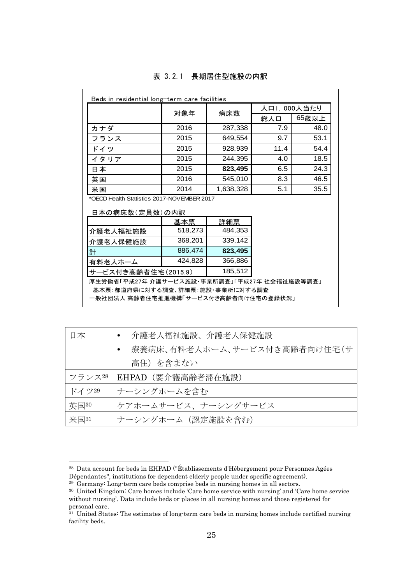| Beds in residential long-term care facilities                 |                                      |                    |      |       |
|---------------------------------------------------------------|--------------------------------------|--------------------|------|-------|
|                                                               | 対象年                                  | 人口1,000人当たり<br>病床数 |      |       |
|                                                               |                                      |                    | 総人口  | 65歳以上 |
| カナダ                                                           | 2016                                 | 287,338            | 7.9  | 48.0  |
| フランス                                                          | 2015                                 | 649,554            | 9.7  | 53.1  |
| ドイツ                                                           | 2015                                 | 928,939            | 11.4 | 54.4  |
| イタリア                                                          | 2015                                 | 244,395            | 4.0  | 18.5  |
| 日本                                                            | 2015                                 | 823,495            | 6.5  | 24.3  |
| 英国                                                            | 2016                                 | 545,010            | 8.3  | 46.5  |
| 米国                                                            | 2014                                 | 1,638,328          | 5.1  | 35.5  |
| *OECD Health Statistics 2017-NOV EMBER 2017<br>日本の病床数(定員数)の内訳 |                                      |                    |      |       |
|                                                               | 基本票                                  | 詳細票                |      |       |
| 介護老人福祉施設                                                      | 518,273                              | 484,353            |      |       |
| 介護老人保健施設                                                      | 368,201                              | 339,142            |      |       |
| 計                                                             | 886.474                              | 823,495            |      |       |
| 有料老人ホーム                                                       | 424,828                              | 366,886            |      |       |
| 185,512<br>サービス付き高齢者住宅(2015.9)                                |                                      |                    |      |       |
| 厚生労働省「平成27年 介護サービス施設・事業所調査」「平成27年 社会福祉施設等調査」                  |                                      |                    |      |       |
| 基本票:都道府県に対する調査、詳細票:施設・事業所に対する調査                               |                                      |                    |      |       |
|                                                               | 一般社団法人 高齢者住宅推進機構「サービス付き高齢者向け住宅の登録状況」 |                    |      |       |

#### 表 3.2.1 長期居住型施設の内訳

| 日本     | 介護老人福祉施設、介護老人保健施設                         |  |  |
|--------|-------------------------------------------|--|--|
|        | 療養病床、有料老人ホーム、サービス付き高齢者向け住宅(サ<br>$\bullet$ |  |  |
|        | 高住)を含まない                                  |  |  |
| フランス28 | EHPAD(要介護高齢者滞在施設)                         |  |  |
| ドイツ29  | ナーシングホームを含む                               |  |  |
| 英国30   | ケアホームサービス、ナーシングサービス                       |  |  |
| 米国31   | ナーシングホーム (認定施設を含む)                        |  |  |

<sup>&</sup>lt;sup>28</sup> Data account for beds in EHPAD ("Établissements d'Hébergement pour Personnes Agées Dépendantes", institutions for dependent elderly people under specific agreement).

<sup>&</sup>lt;sup>29</sup> Germany: Long-term care beds comprise beds in nursing homes in all sectors.

<sup>30</sup> United Kingdom: Care homes include 'Care home service with nursing' and 'Care home service without nursing'. Data include beds or places in all nursing homes and those registered for personal care.

 $31$  United States: The estimates of long-term care beds in nursing homes include certified nursing facility beds.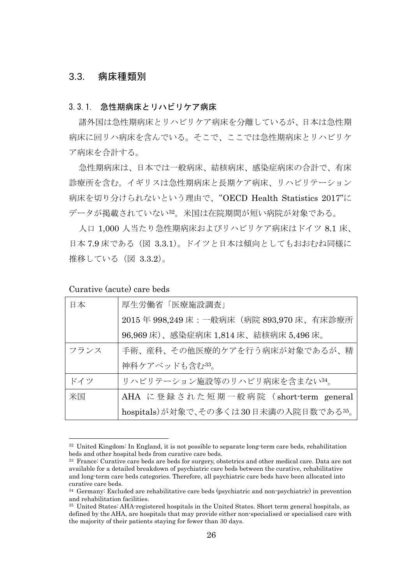#### 3.3. 病床種類別

#### 3.3.1. 急性期病床とリハビリケア病床

諸外国は急性期病床とリハビリケア病床を分離しているが、日本は急性期 病床に回リハ病床を含んでいる。そこで、ここでは急性期病床とリハビリケ ア病床を合計する。

急性期病床は、日本では一般病床、結核病床、感染症病床の合計で、有床 診療所を含む。イギリスは急性期病床と長期ケア病床、リハビリテーション 病床を切り分けられないという理由で、"OECD Health Statistics 2017"に データが掲載されていない32。米国は在院期間が短い病院が対象である。

人口 1,000 人当たり急性期病床およびリハビリケア病床はドイツ 8.1 床、 日本 7.9 床である(図 3.3.1)。ドイツと日本は傾向としてもおおむね同様に 推移している(図 3.3.2)。

Curative (acute) care beds

| 日本   | 厚生労働省「医療施設調査」                             |
|------|-------------------------------------------|
|      | 2015年 998.249 床: 一般病床 (病院 893,970 床、有床診療所 |
|      | 96,969 床)、感染症病床 1,814 床、結核病床 5,496 床。     |
| フランス | 手術、産科、その他医療的ケアを行う病床が対象であるが、精              |
|      | 神科ケアベッドも含む33。                             |
| ドイツ  | リハビリテーション施設等のリハビリ病床を含まない34。               |
| 米国   | AHA に登録された短期一般病院 (short-term general      |
|      | hospitals)が対象で、その多くは30日未満の入院日数である35。      |

<sup>&</sup>lt;sup>32</sup> United Kingdom: In England, it is not possible to separate long-term care beds, rehabilitation beds and other hospital beds from curative care beds.

<sup>33</sup> France: Curative care beds are beds for surgery, obstetrics and other medical care. Data are not available for a detailed breakdown of psychiatric care beds between the curative, rehabilitative and long-term care beds categories. Therefore, all psychiatric care beds have been allocated into curative care beds.

<sup>34</sup> Germany: Excluded are rehabilitative care beds (psychiatric and non-psychiatric) in prevention and rehabilitation facilities.

<sup>35</sup> United States: AHA-registered hospitals in the United States. Short term general hospitals, as defined by the AHA, are hospitals that may provide either non-specialised or specialised care with the majority of their patients staying for fewer than 30 days.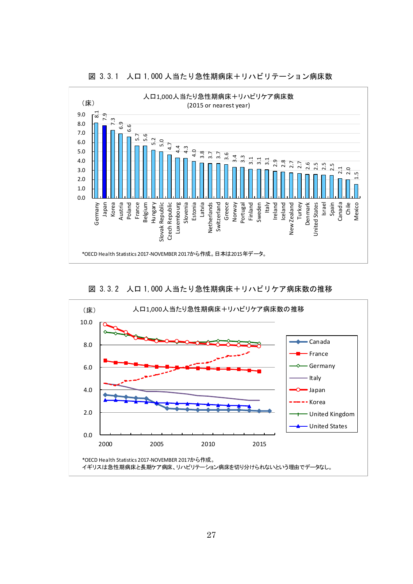

図 3.3.1 人口 1,000 人当たり急性期病床+リハビリテーション病床数



図 3.3.2 人口 1,000 人当たり急性期病床+リハビリケア病床数の推移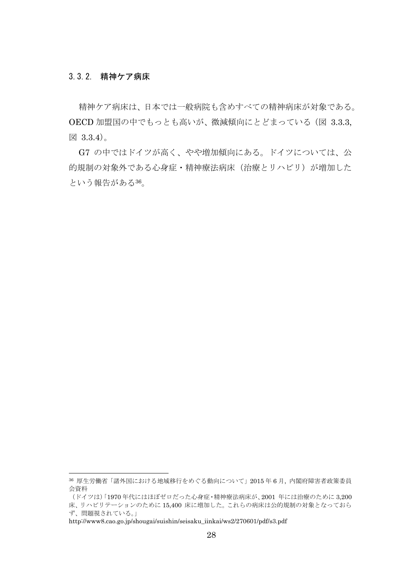#### 3.3.2. 精神ケア病床

精神ケア病床は、日本では一般病院も含めすべての精神病床が対象である。 OECD 加盟国の中でもっとも高いが、微減傾向にとどまっている(図 3.3.3, 図 3.3.4)。

G7 の中ではドイツが高く、やや増加傾向にある。ドイツについては、公 的規制の対象外である心身症・精神療法病床(治療とリハビリ)が増加した という報告がある36。

http://www8.cao.go.jp/shougai/suishin/seisaku\_iinkai/ws2/270601/pdf/s3.pdf

<sup>36</sup> 厚生労働省「諸外国における地域移行をめぐる動向について」2015 年 6 月, 内閣府障害者政策委員 会資料

<sup>(</sup>ドイツは)「1970 年代にはほぼゼロだった心身症・精神療法病床が、2001 年には治療のために 3,200 床、リハビリテーションのために 15,400 床に増加した。これらの病床は公的規制の対象となっておら ず、問題視されている。」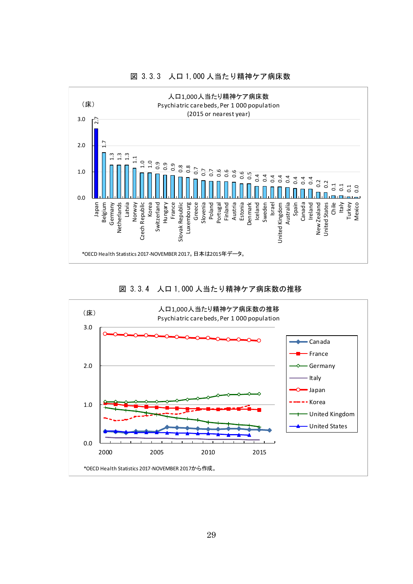





図 3.3.4 人口 1,000 人当たり精神ケア病床数の推移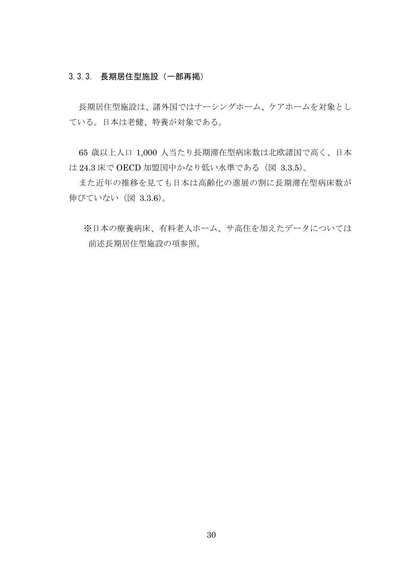#### 3.3.3. 長期居住型施設(一部再掲)

長期居住型施設は、諸外国ではナーシングホーム、ケアホームを対象とし ている。日本は老健、特養が対象である。

65 歳以上人口 1,000 人当たり長期滞在型病床数は北欧諸国で高く、日本 は 24.3 床で OECD 加盟国中かなり低い水準である(図 3.3.5)。

また近年の推移を見ても日本は高齢化の進展の割に長期滞在型病床数が 伸びていない(図 3.3.6)。

※日本の療養病床、有料老人ホーム、サ高住を加えたデータについては 前述長期居住型施設の項参照。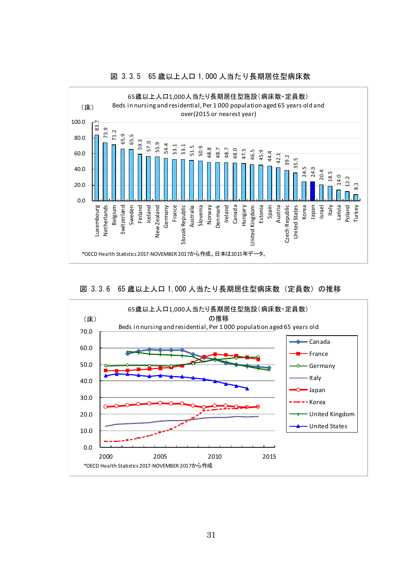

#### 図 3.3.5 65 歳以上人口 1,000 人当たり長期居住型病床数



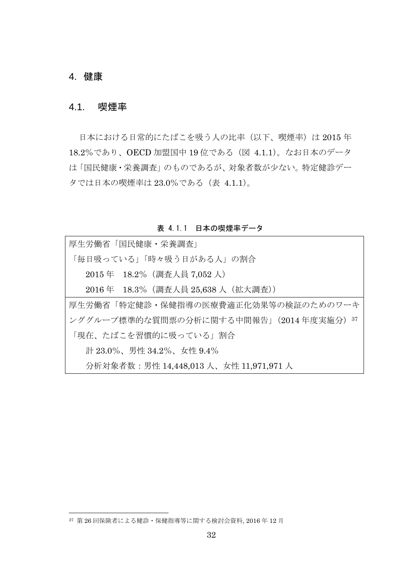# 4. 健康

l

## 4.1. 喫煙率

日本における日常的にたばこを吸う人の比率(以下、喫煙率)は 2015年 18.2%であり、OECD 加盟国中 19 位である(図 4.1.1)。なお日本のデータ は「国民健康・栄養調査」のものであるが、対象者数が少ない。特定健診デー タでは日本の喫煙率は 23.0%である(表 4.1.1)。

表 4.1.1 日本の喫煙率データ

| 厚生労働省「国民健康・栄養調査」                        |
|-----------------------------------------|
| 「毎日吸っている」「時々吸う日がある人」の割合                 |
| 2015年 18.2% (調査人員 7,052人)               |
| 2016 年 18.3%(調査人員 25,638 人(拡大調査))       |
| 厚生労働省「特定健診・保健指導の医療費適正化効果等の検証のためのワーキ     |
| ンググループ標準的な質問票の分析に関する中間報告」(2014 年度実施分)37 |
| 「現在、たばこを習慣的に吸っている」割合                    |
| 計 23.0%、男性 34.2%、女性 9.4%                |
| 分析対象者数:男性 14,448,013 人、女性 11,971,971 人  |

<sup>37</sup> 第 26 回保険者による健診・保健指導等に関する検討会資料, 2016 年 12 月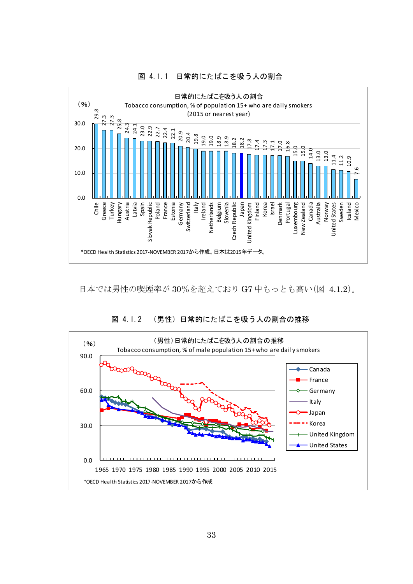

図 4.1.1 日常的にたばこを吸う人の割合

日本では男性の喫煙率が 30%を超えており G7 中もっとも高い(図 4.1.2)。



図 4.1.2 (男性)日常的にたばこを吸う人の割合の推移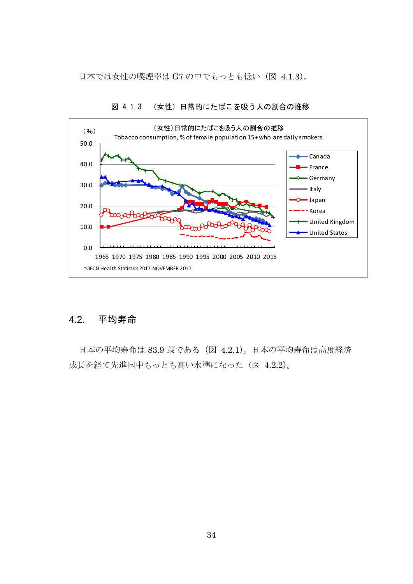日本では女性の喫煙率は G7 の中でもっとも低い(図 4.1.3)。



図 4.1.3 (女性)日常的にたばこを吸う人の割合の推移

# 4.2. 平均寿命

日本の平均寿命は 83.9 歳である(図 4.2.1)。日本の平均寿命は高度経済 成長を経て先進国中もっとも高い水準になった(図 4.2.2)。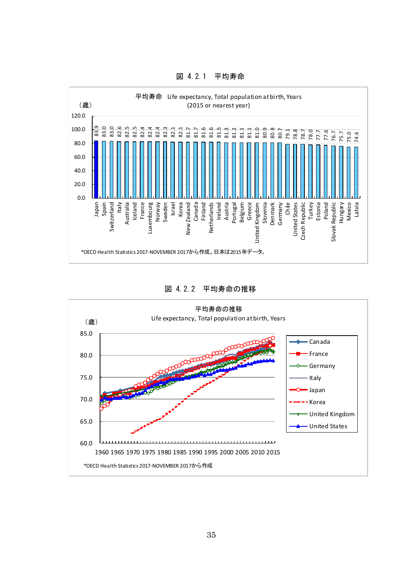

図 4.2.1 平均寿命

図 4.2.2 平均寿命の推移

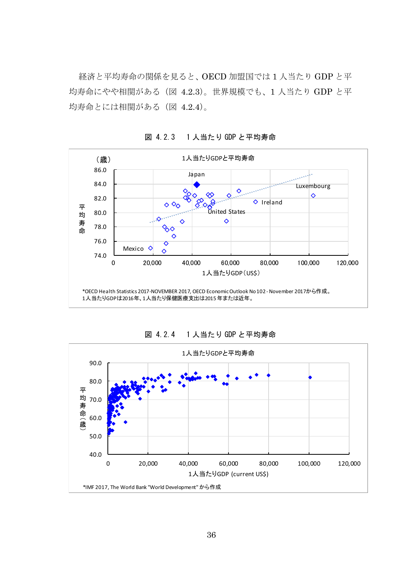経済と平均寿命の関係を見ると、OECD 加盟国では 1 人当たり GDP と平 均寿命にやや相関がある(図 4.2.3)。世界規模でも、1 人当たり GDP と平 均寿命とには相関がある(図 4.2.4)。



図 4.2.3 1 人当たり GDP と平均寿命



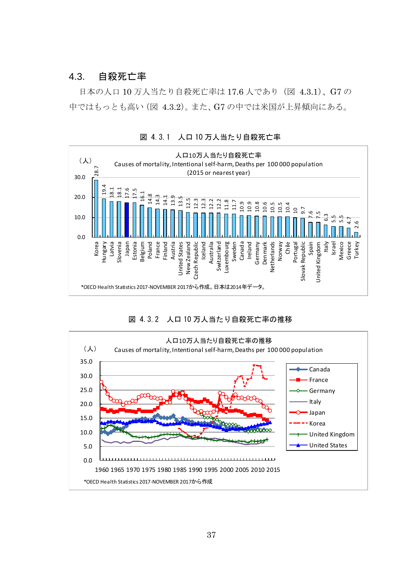## 4.3. 自殺死亡率

日本の人口 10 万人当たり自殺死亡率は 17.6 人であり(図 4.3.1)、G7 の 中ではもっとも高い(図 4.3.2)。また、G7 の中では米国が上昇傾向にある。





図 4.3.2 人口 10 万人当たり自殺死亡率の推移

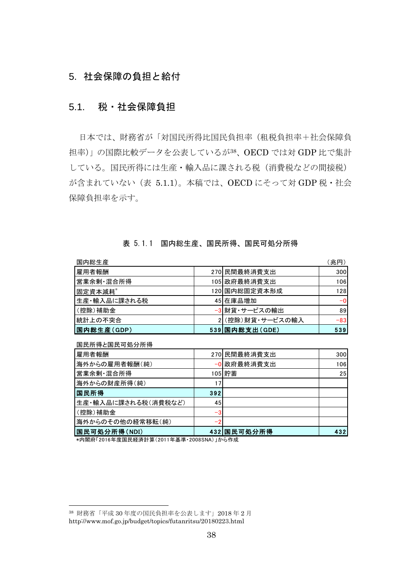# 5. 社会保障の負担と給付

### 5.1. 税・社会保障負担

日本では、財務省が「対国民所得比国民負担率(租税負担率+社会保障負 担率)」の国際比較データを公表しているが38、OECD では対 GDP 比で集計 している。国民所得には生産・輸入品に課される税(消費税などの間接税) が含まれていない(表 5.1.1)。本稿では、OECD にそって対 GDP 税・社会 保障負担率を示す。

#### 表 5.1.1 国内総生産、国民所得、国民可処分所得

| 国内総生産        |                 | (兆円)  |
|--------------|-----------------|-------|
| 雇用者報酬        | 270 民間最終消費支出    | 300   |
| 営業余剰・混合所得    | 105 政府最終消費支出    | 106   |
| 固定資本減耗*      | 120 国内総固定資本形成   | 128   |
| 生産・輸入品に課される税 | 45 在庫品増加        | $-0$  |
| (控除)補助金      | -3 財貨・サービスの輸出   | 89    |
| 統計上の不突合      | 2(控除)財貨・サービスの輸入 | $-83$ |
| 国内総生産(GDP)   | 539 国内総支出(GDE)  | 539   |

国民所得と国民可処分所得

l

| 雇用者報酬               |     | 270 民間最終消費支出 | 300             |
|---------------------|-----|--------------|-----------------|
| 海外からの雇用者報酬(純)       |     | -0 政府最終消費支出  | 106             |
| 営業余剰・混合所得           |     | 105 貯蓄       | 25 <sub>1</sub> |
| 海外からの財産所得(純)        |     |              |                 |
| 国民所得                | 392 |              |                 |
| 生産・輸入品に課される税(消費税など) | 45  |              |                 |
| (控除)補助金             | -   |              |                 |
| 海外からのその他の経常移転(純)    |     |              |                 |
| 国民可処分所得(NDI)        |     | 432 国民可処分所得  | 432             |

\*内閣府「2016年度国民経済計算(2011年基準・2008SNA)」から作成

<sup>38</sup> 財務省「平成 30 年度の国民負担率を公表します」2018 年 2 月

http://www.mof.go.jp/budget/topics/futanritsu/20180223.html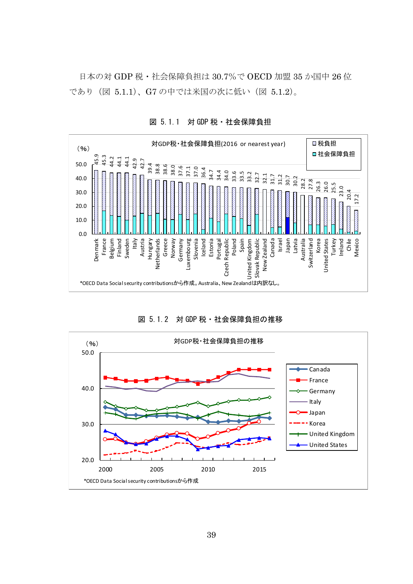日本の対 GDP 税・社会保障負担は 30.7%で OECD 加盟 35 か国中 26 位 であり(図 5.1.1)、G7 の中では米国の次に低い(図 5.1.2)。



図 5.1.1 対 GDP 税・社会保障負担

図 5.1.2 対 GDP 税・社会保障負担の推移

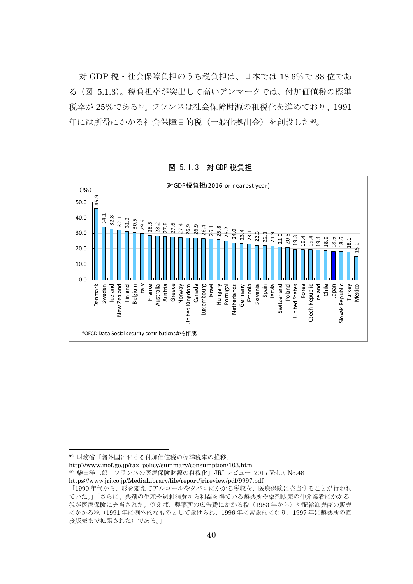対 GDP 税・社会保障負担のうち税負担は、日本では 18.6%で 33 位であ る(図 5.1.3)。税負担率が突出して高いデンマークでは、付加価値税の標準 税率が 25%である39。フランスは社会保障財源の租税化を進めており、1991 年には所得にかかる社会保障目的税(一般化拠出金)を創設した40。

(%) <sup>対</sup>GDP税負担(2016 or nearest year) 45.9 50.0 40.0 32.8 -<br>34.1 31.3 32.1 30.5 29.9 28.5 28.2 27.8 27.6 27.4 26.9 26.9 26.4 25.8 26.1 25.2 24.0 23.4 23.1 30.0 22.3 22.1 21.9 21.0 20.8 19.8 18.9 18.6 19.4 19.4 19.1 18.1 18.6 15.0 20.0 10.0  $0.0$ United Kingdom<br>Canada Switzerland<br>Poland Czech Republic<br>Ireland Denmark Sweden Iceland Finland Belgium Italy France Austria Greece Israel Korea Chile Japan **New Zealand** Australia Norway Luxembourg Netherlands Germany **United States** Slovak Republic Turkey Hungary Portugal New Zealand United Kingdom Luxembourg Netherlands Estonia Slovenia Spain Latvia Switzerland United States Czech Republic Slovak Republic Mexico \*OECD Data Socialsecurity contributionsから作成

図 5.1.3 対 GDP 税負担

http://www.mof.go.jp/tax\_policy/summary/consumption/103.htm 40 柴田洋二郎「フランスの医療保険財源の租税化」JRI レビュー 2017 Vol.9, No.48

<sup>39</sup> 財務省「諸外国における付加価値税の標準税率の推移」

https://www.jri.co.jp/MediaLibrary/file/report/jrireview/pdf/9997.pdf

<sup>「1990</sup>年代から、形を変えてアルコールやタバコにかかる税収を、医療保険に充当することが行われ ていた。」「さらに、薬剤の生産や過剰消費から利益を得ている製薬所や薬剤販売の仲介業者にかかる 税が医療保険に充当された。例えば、製薬所の広告費にかかる税(1983年から)や配給卸売商の販売 にかかる税(1991 年に例外的なものとして設けられ、1996 年に常設的になり、1997 年に製薬所の直 接販売まで拡張された)である。」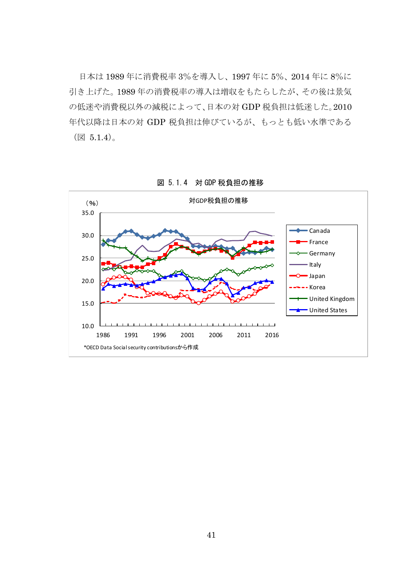日本は 1989 年に消費税率 3%を導入し、1997 年に 5%、2014 年に 8%に 引き上げた。1989 年の消費税率の導入は増収をもたらしたが、その後は景気 の低迷や消費税以外の減税によって、日本の対 GDP 税負担は低迷した。2010 年代以降は日本の対 GDP 税負担は伸びているが、もっとも低い水準である (図 5.1.4)。



図 5.1.4 対 GDP 税負担の推移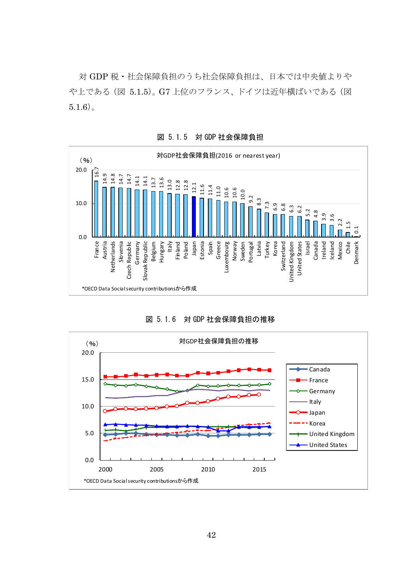対 GDP 税・社会保障負担のうち社会保障負担は、日本では中央値よりや や上である(図 5.1.5)。G7 上位のフランス、ドイツは近年横ばいである(図  $5.1.6$ )。



図 5.1.5 対 GDP 社会保障負担

図 5.1.6 対 GDP 社会保障負担の推移

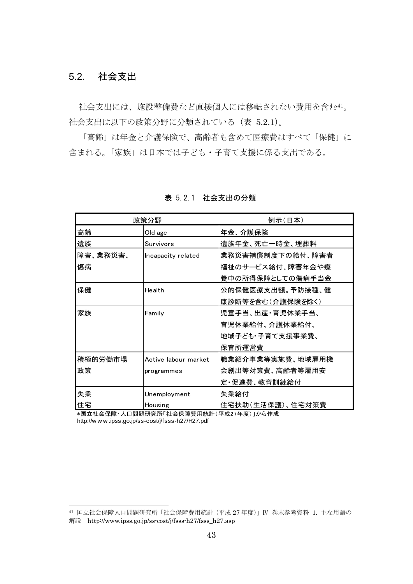# 5.2. 社会支出

l

社会支出には、施設整備費など直接個人には移転されない費用を含む41。 社会支出は以下の政策分野に分類されている(表 5.2.1)。

「高齢」は年金と介護保険で、高齢者も含めて医療費はすべて「保健」に 含まれる。「家族」は日本では子ども・子育て支援に係る支出である。

| 政策分野     |                      | 例示(日本)           |
|----------|----------------------|------------------|
| 高齢       | Old age              | 年金、介護保険          |
| 遺族       | Survivors            | 遺族年金、死亡一時金、埋葬料   |
| 障害、業務災害、 | Incapacity related   | 業務災害補償制度下の給付、障害者 |
| 傷病       |                      | 福祉のサービス給付、障害年金や療 |
|          |                      | 養中の所得保障としての傷病手当金 |
| 保健       | Health               | 公的保健医療支出額。予防接種、健 |
|          |                      | 康診断等を含む(介護保険を除く) |
| 家族       | Family               | 児童手当、出産・育児休業手当、  |
|          |                      | 育児休業給付、介護休業給付、   |
|          |                      | 地域子ども・子育て支援事業費、  |
|          |                      | 保育所運営費           |
| 積極的労働市場  | Active labour market | 職業紹介事業等実施費、地域雇用機 |
| 政策       | programmes           | 会創出等対策費、高齢者等雇用安  |
|          |                      | 定・促進費、教育訓練給付     |
| 失業       | Unemployment         | 失業給付             |
| 住宅       | Housing              | 住宅扶助(生活保護)、住宅対策費 |

表 5.2.1 社会支出の分類

\*国立社会保障・人口問題研究所「社会保障費用統計(平成27年度)」から作成 http://w w w .ipss.go.jp/ss-cost/j/fsss-h27/H27.pdf

<sup>41</sup> 国立社会保障人口問題研究所「社会保障費用統計(平成 27 年度)」Ⅳ 巻末参考資料 1. 主な用語の 解説 http://www.ipss.go.jp/ss-cost/j/fsss-h27/fsss\_h27.asp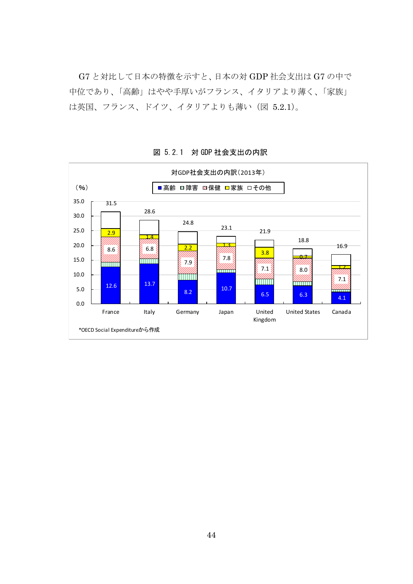G7 と対比して日本の特徴を示すと、日本の対 GDP 社会支出は G7 の中で 中位であり、「高齢」はやや手厚いがフランス、イタリアより薄く、「家族」 は英国、フランス、ドイツ、イタリアよりも薄い(図 5.2.1)。



図 5.2.1 対 GDP 社会支出の内訳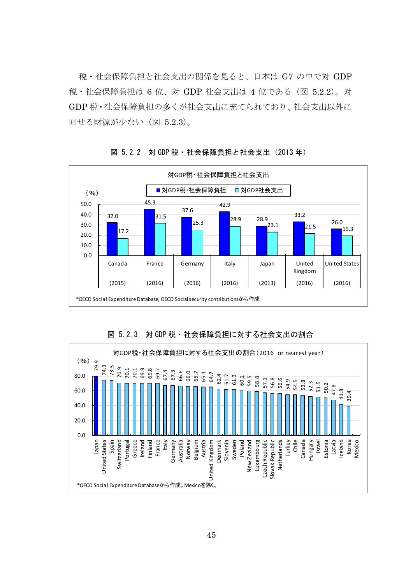税・社会保障負担と社会支出の関係を見ると、日本は G7 の中で対 GDP 税・社会保障負担は 6 位、対 GDP 社会支出は 4 位である(図 5.2.2)。対 GDP 税・社会保障負担の多くが社会支出に充てられており、社会支出以外に 回せる財源が少ない(図 5.2.3)。



図 5.2.2 対 GDP 税 · 社会保障負担と社会支出 (2013年)



図 5.2.3 対 GDP 税・社会保障負担に対する社会支出の割合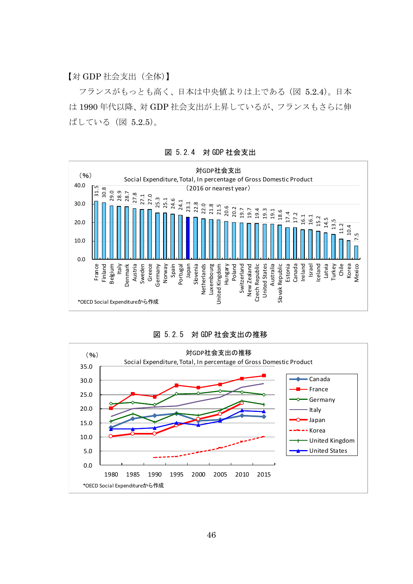【対 GDP 社会支出(全体)】

フランスがもっとも高く、日本は中央値よりは上である(図 5.2.4)。日本 は 1990 年代以降、対 GDP 社会支出が上昇しているが、フランスもさらに伸 ばしている(図 5.2.5)。



図 5.2.4 対 GDP 社会支出



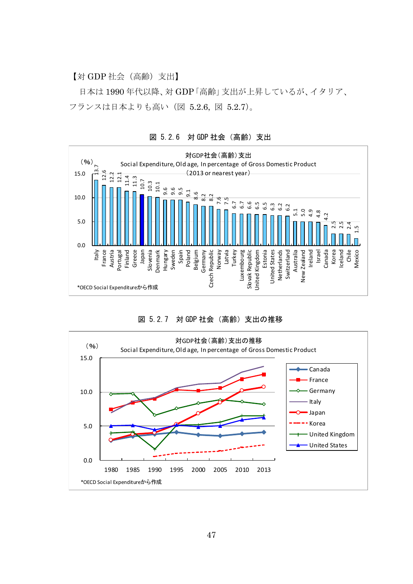【対 GDP 社会(高齢)支出】

日本は 1990 年代以降、対 GDP「高齢」支出が上昇しているが、イタリア、 フランスは日本よりも高い(図 5.2.6, 図 5.2.7)。



図 5.2.6 対 GDP 社会(高齢)支出



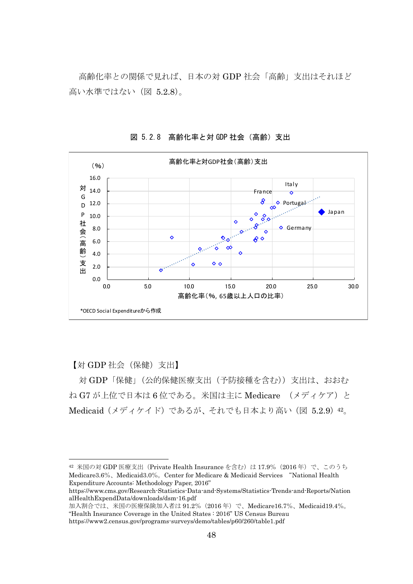高齢化率との関係で見れば、日本の対 GDP 社会「高齢」支出はそれほど 高い水準ではない(図 5.2.8)。



図 5.2.8 高齢化率と対 GDP 社会(高齢)支出

【対 GDP 社会(保健)支出】

l

対 GDP「保健」(公的保健医療支出(予防接種を含む))支出は、おおむ ね G7 が上位で日本は 6 位である。米国は主に Medicare (メディケア)と Medicaid (メディケイド) であるが、それでも日本より高い (図 5.2.9) 42。

 $42$  米国の対 GDP 医療支出 (Private Health Insurance を含む)は 17.9% (2016年)で、このうち Medicare3.6%、Medicaid3.0%。Center for Medicare & Medicaid Services "National Health Expenditure Accounts: Methodology Paper, 2016"

https://www.cms.gov/Research-Statistics-Data-and-Systems/Statistics-Trends-and-Reports/Nation alHealthExpendData/downloads/dsm-16.pdf

加入割合では、米国の医療保険加入者は 91.2%(2016 年)で、Medicare16.7%、Medicaid19.4%。 "Health Insurance Coverage in the United States : 2016" US Census Bureau https://www2.census.gov/programs-surveys/demo/tables/p60/260/table1.pdf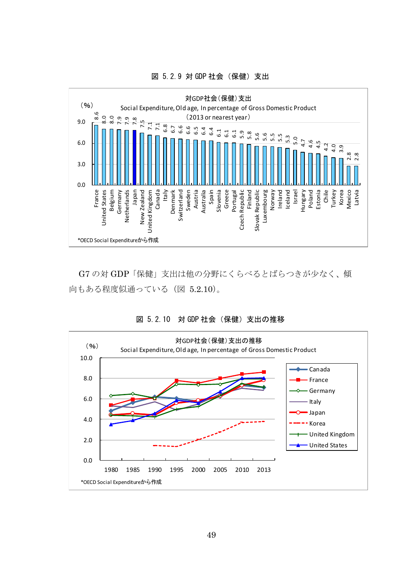

図 5.2.9 対 GDP 社会(保健)支出

G7 の対 GDP「保健」支出は他の分野にくらべるとばらつきが少なく、傾 向もある程度似通っている(図 5.2.10)。



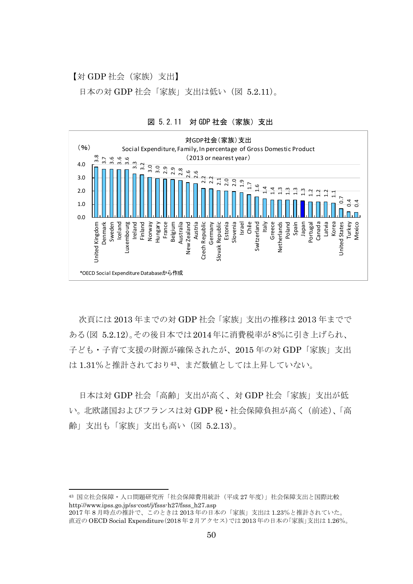【対 GDP 社会(家族)支出】

日本の対 GDP 社会「家族」支出は低い(図 5.2.11)。



図 5.2.11 対 GDP 社会(家族)支出

次頁には 2013 年までの対 GDP 社会「家族」支出の推移は 2013 年までで ある(図 5.2.12)。その後日本では2014年に消費税率が8%に引き上げられ、 子ども・子育て支援の財源が確保されたが、2015 年の対 GDP「家族」支出 は 1.31%と推計されており43、まだ数値としては上昇していない。

日本は対 GDP 社会「高齢」支出が高く、対 GDP 社会「家族」支出が低 い。北欧諸国およびフランスは対 GDP 税・社会保障負担が高く(前述)、「高 齢」支出も「家族」支出も高い(図 5.2.13)。

<sup>43</sup> 国立社会保障・人口問題研究所「社会保障費用統計(平成 27 年度)」社会保障支出と国際比較 http://www.ipss.go.jp/ss-cost/j/fsss-h27/fsss\_h27.asp

<sup>2017</sup> 年 8 月時点の推計で、このときは 2013 年の日本の「家族」支出は 1.23%と推計されていた。 直近の OECD Social Expenditure(2018 年 2 月アクセス)では 2013 年の日本の「家族」支出は 1.26%。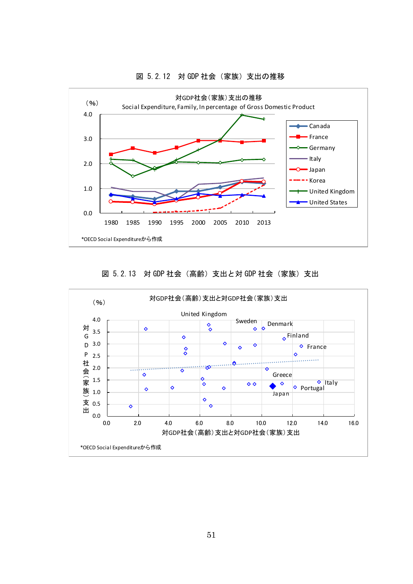

#### 図 5.2.12 対 GDP 社会(家族)支出の推移

図 5.2.13 対 GDP 社会 (高齢) 支出と対 GDP 社会 (家族) 支出

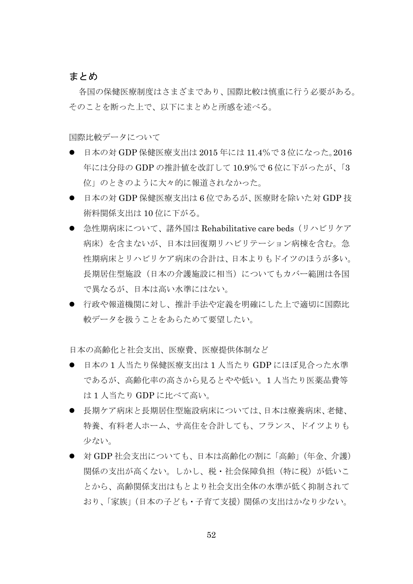#### まとめ

各国の保健医療制度はさまざまであり、国際比較は慎重に行う必要がある。 そのことを断った上で、以下にまとめと所感を述べる。

国際比較データについて

- 日本の対 GDP 保健医療支出は 2015 年には 11.4%で 3 位になった。2016 年には分母の GDP の推計値を改訂して 10.9%で 6 位に下がったが、「3 位」のときのように大々的に報道されなかった。
- 日本の対 GDP 保健医療支出は 6 位であるが、医療財を除いた対 GDP 技 術料関係支出は 10 位に下がる。
- 急性期病床について、諸外国は Rehabilitative care beds(リハビリケア 病床)を含まないが、日本は回復期リハビリテーション病棟を含む。急 性期病床とリハビリケア病床の合計は、日本よりもドイツのほうが多い。 長期居住型施設(日本の介護施設に相当)についてもカバー範囲は各国 で異なるが、日本は高い水準にはない。
- 行政や報道機関に対し、推計手法や定義を明確にした上で適切に国際比 較データを扱うことをあらためて要望したい。

日本の高齢化と社会支出、医療費、医療提供体制など

- 日本の 1 人当たり保健医療支出は 1 人当たり GDP にほぼ見合った水準 であるが、高齢化率の高さから見るとやや低い。1 人当たり医薬品費等 は 1 人当たり GDP に比べて高い。
- 長期ケア病床と長期居住型施設病床については、日本は療養病床、老健、 特養、有料老人ホーム、サ高住を合計しても、フランス、ドイツよりも 少ない。
- 対 GDP 社会支出についても、日本は高齢化の割に「高齢」(年金、介護) 関係の支出が高くない。しかし、税・社会保障負担(特に税)が低いこ とから、高齢関係支出はもとより社会支出全体の水準が低く抑制されて おり、「家族」(日本の子ども・子育て支援)関係の支出はかなり少ない。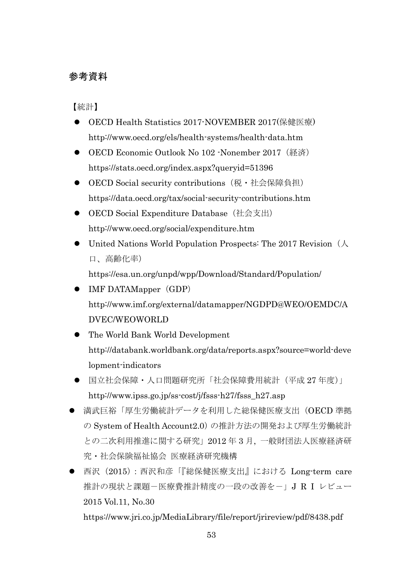# 参考資料

【統計】

- OECD Health Statistics 2017-NOVEMBER 2017(保健医療) http://www.oecd.org/els/health-systems/health-data.htm
- OECD Economic Outlook No 102 -Nonember 2017 (経済) https://stats.oecd.org/index.aspx?queryid=51396
- OECD Social security contributions(税・社会保障負担) https://data.oecd.org/tax/social-security-contributions.htm
- OECD Social Expenditure Database (社会支出) http://www.oecd.org/social/expenditure.htm
- United Nations World Population Prospects: The 2017 Revision  $(\Lambda)$ 口、高齢化率)

https://esa.un.org/unpd/wpp/Download/Standard/Population/

- IMF DATAMapper (GDP) http://www.imf.org/external/datamapper/NGDPD@WEO/OEMDC/A DVEC/WEOWORLD
- The World Bank World Development http://databank.worldbank.org/data/reports.aspx?source=world-deve lopment-indicators
- 国立社会保障・人口問題研究所「社会保障費用統計(平成 27 年度)」 http://www.ipss.go.jp/ss-cost/j/fsss-h27/fsss\_h27.asp
- 満武巨裕「厚生労働統計データを利用した総保健医療支出(OECD 準拠 の System of Health Account2.0) の推計方法の開発および厚生労働統計 との二次利用推進に関する研究」2012 年 3 月, 一般財団法人医療経済研 究・社会保険福祉協会 医療経済研究機構
- 西沢(2015):西沢和彦「『総保健医療支出』における Long-term care 推計の現状と課題-医療費推計精度の一段の改善を-」J R I レビュー 2015 Vol.11, No.30

https://www.jri.co.jp/MediaLibrary/file/report/jrireview/pdf/8438.pdf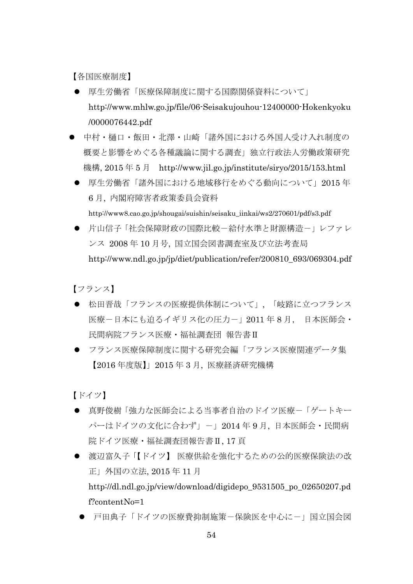【各国医療制度】

- 厚生労働省「医療保障制度に関する国際関係資料について」 http://www.mhlw.go.jp/file/06-Seisakujouhou-12400000-Hokenkyoku /0000076442.pdf
- 中村・樋口・飯田・北澤・山崎「諸外国における外国人受け入れ制度の 概要と影響をめぐる各種議論に関する調査」独立行政法人労働政策研究 機構, 2015 年 5 月 http://www.jil.go.jp/institute/siryo/2015/153.html
- 厚生労働省「諸外国における地域移行をめぐる動向について」2015年 6 月, 内閣府障害者政策委員会資料

http://www8.cao.go.jp/shougai/suishin/seisaku\_iinkai/ws2/270601/pdf/s3.pdf

● 片山信子「社会保障財政の国際比較-給付水準と財源構造-」レファレ ンス 2008 年 10 月号, 国立国会図書調査室及び立法考査局 http://www.ndl.go.jp/jp/diet/publication/refer/200810\_693/069304.pdf

【フランス】

- 松田晋哉「フランスの医療提供体制について」,「岐路に立つフランス 医療-日本にも迫るイギリス化の圧力-」2011 年 8 月, 日本医師会・ 民間病院フランス医療・福祉調査団 報告書Ⅱ
- フランス医療保障制度に関する研究会編「フランス医療関連データ集 【2016 年度版】」2015 年 3 月, 医療経済研究機構

【ドイツ】

- 真野俊樹「強力な医師会による当事者自治のドイツ医療-「ゲートキー パーはドイツの文化に合わず」-」2014年9月,日本医師会・民間病 院ドイツ医療・福祉調査団報告書Ⅱ, 17 頁
- 渡辺富久子「【ドイツ】 医療供給を強化するための公的医療保険法の改 正」外国の立法, 2015 年 11 月 http://dl.ndl.go.jp/view/download/digidepo\_9531505\_po\_02650207.pd f?contentNo=1
	- 戸田典子「ドイツの医療費抑制施策-保険医を中心に-」国立国会図